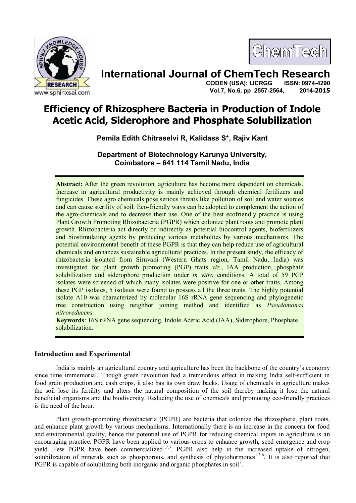

ChemTech

# **International Journal of ChemTech Research**

 **CODEN (USA): IJCRGG ISSN: 0974-4290 Vol.7, No.6, pp 2557-2564, 2014-2015**

# **Efficiency of Rhizosphere Bacteria in Production of Indole Acetic Acid, Siderophore and Phosphate Solubilization**

**Pemila Edith Chitraselvi R, Kalidass S\*, Rajiv Kant**

**Department of Biotechnology Karunya University, Coimbatore – 641 114 Tamil Nadu, India**

**Abstract:** After the green revolution, agriculture has become more dependent on chemicals. Increase in agricultural productivity is mainly achieved through chemical fertilizers and fungicides. These agro chemicals pose serious threats like pollution of soil and water sources and can cause sterility of soil. Eco-friendly ways can be adopted to complement the action of the agro-chemicals and to decrease their use. One of the best ecofriendly practice is using Plant Growth Promoting Rhizobacteria (PGPR) which colonize plant roots and promote plant growth. Rhizobacteria act directly or indirectly as potential biocontrol agents, biofertilizers and biostimulating agents by producing various metabolites by various mechanisms. The potential environmental benefit of these PGPR is that they can help reduce use of agricultural chemicals and enhances sustainable agricultural practices. In the present study, the efficacy of rhizobacteria isolated from Siruvani (Western Ghats region, Tamil Nadu, India) was investigated for plant growth promoting (PGP) traits *viz*., IAA production, phosphate solubilization and siderophore production under *in vitro* conditions. A total of 59 PGP isolates were screened of which many isolates were positive for one or other traits. Among these PGP isolates, 5 isolates were found to possess all the three traits. The highly potential isolate A10 was characterized by molecular 16S rRNA gene sequencing and phylogenetic tree construction using neighbor joining method and identified as *Pseudomonas nitroreducens.*

**Keywords**: 16S rRNA gene sequencing, Indole Acetic Acid (IAA), Siderophore, Phosphate solubilization.

# **Introduction and Experimental**

India is mainly an agricultural country and agriculture has been the backbone of the country's economy since time immemorial. Though green revolution had a tremendous effect in making India self-sufficient in food grain production and cash crops, it also has its own draw backs. Usage of chemicals in agriculture makes the soil lose its fertility and alters the natural composition of the soil thereby making it lose the natural beneficial organisms and the biodiversity. Reducing the use of chemicals and promoting eco-friendly practices is the need of the hour.

Plant growth-promoting rhizobacteria (PGPR) are bacteria that colonize the rhizosphere, plant roots, and enhance plant growth by various mechanisms. Internationally there is an increase in the concern for food and environmental quality, hence the potential use of PGPR for reducing chemical inputs in agriculture is an encouraging practice. PGPR have been applied to various crops to enhance growth, seed emergence and crop yield. Few PGPR have been commercialized<sup>1,2,3</sup>. PGPR also help in the increased uptake of nitrogen, solubilization of minerals such as phosphorous, and synthesis of phytohormones<sup>4,5,6</sup>. It is also reported that PGPR is capable of solubilizing both inorganic and organic phosphates in soil<sup>7</sup>.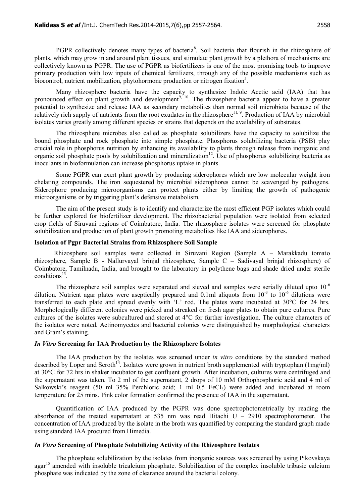PGPR collectively denotes many types of bacteria<sup>8</sup>. Soil bacteria that flourish in the rhizosphere of plants, which may grow in and around plant tissues, and stimulate plant growth by a plethora of mechanisms are collectively known as PGPR. The use of PGPR as biofertilizers is one of the most promising tools to improve primary production with low inputs of chemical fertilizers, through any of the possible mechanisms such as biocontrol, nutrient mobilization, phytohormone production or nitrogen fixation<sup>5</sup>.

Many rhizosphere bacteria have the capacity to synthesize Indole Acetic acid (IAA) that has pronounced effect on plant growth and development<sup>9, 10</sup>. The rhizosphere bacteria appear to have a greater potential to synthesize and release IAA as secondary metabolites than normal soil microbiota because of the relatively rich supply of nutrients from the root exudates in the rhizosphere<sup>11, 9</sup>. Production of IAA by microbial isolates varies greatly among different species or strains that depends on the availability of substrates.

The rhizosphere microbes also called as phosphate solubilizers have the capacity to solubilize the bound phosphate and rock phosphate into simple phosphate. Phosphorus solubilizing bacteria (PSB) play crucial role in phosphorus nutrition by enhancing its availability to plants through release from inorganic and organic soil phosphate pools by solubilization and mineralization<sup>12</sup>. Use of phosphorus solubilizing bacteria as inoculants in bioformulation can increase phosphorus uptake in plants.

Some PGPR can exert plant growth by producing siderophores which are low molecular weight iron chelating compounds. The iron sequestered by microbial siderophores cannot be scavenged by pathogens. Siderophore producing microorganisms can protect plants either by limiting the growth of pathogenic microorganisms or by triggering plant's defensive metabolism.

The aim of the present study is to identify and characterize the most efficient PGP isolates which could be further explored for biofertilizer development. The rhizobacterial population were isolated from selected crop fields of Siruvani regions of Coimbatore, India. The rhizosphere isolates were screened for phosphate solubilization and production of plant growth promoting metabolites like IAA and siderophores.

#### **Isolation of Pgpr Bacterial Strains from Rhizosphere Soil Sample**

Rhizosphere soil samples were collected in Siruvani Region (Sample A – Marakkadu tomato rhizosphere, Sample B - Nallurvayal brinjal rhizosphere, Sample C – Sadivayal brinjal rhizosphere) of Coimbatore, Tamilnadu, India, and brought to the laboratory in polythene bags and shade dried under sterile conditions $^{13}$ .

The rhizosphere soil samples were separated and sieved and samples were serially diluted upto  $10^{-6}$ dilution. Nutrient agar plates were aseptically prepared and 0.1ml aliquots from  $10^{-3}$  to  $10^{-6}$  dilutions were transferred to each plate and spread evenly with 'L' rod. The plates were incubated at 30°C for 24 hrs. Morphologically different colonies were picked and streaked on fresh agar plates to obtain pure cultures. Pure cultures of the isolates were subcultured and stored at 4°C for further investigation. The culture characters of the isolates were noted. Actinomycetes and bacterial colonies were distinguished by morphological characters and Gram's staining.

## *In Vitro* **Screening for IAA Production by the Rhizosphere Isolates**

The IAA production by the isolates was screened under *in vitro* conditions by the standard method described by Loper and Scroth<sup>14</sup>. Isolates were grown in nutrient broth supplemented with tryptophan (1mg/ml) at 30°C for 72 hrs in shaker incubator to get confluent growth. After incubation, cultures were centrifuged and the supernatant was taken. To 2 ml of the supernatant, 2 drops of 10 mM Orthophosphoric acid and 4 ml of Salkowski's reagent (50 ml 35% Perchloric acid; 1 ml 0.5 FeCl<sub>3</sub>) were added and incubated at room temperature for 25 mins. Pink color formation confirmed the presence of IAA in the supernatant.

Quantification of IAA produced by the PGPR was done spectrophotometrically by reading the absorbance of the treated supernatant at 535 nm was read Hitachi  $U - 2910$  spectrophotometer. The concentration of IAA produced by the isolate in the broth was quantified by comparing the standard graph made using standard IAA procured from Himedia.

## *In Vitro* **Screening of Phosphate Solubilizing Activity of the Rhizosphere Isolates**

The phosphate solubilization by the isolates from inorganic sources was screened by using Pikovskaya agar<sup>15</sup> amended with insoluble tricalcium phosphate. Solubilization of the complex insoluble tribasic calcium phosphate was indicated by the zone of clearance around the bacterial colony.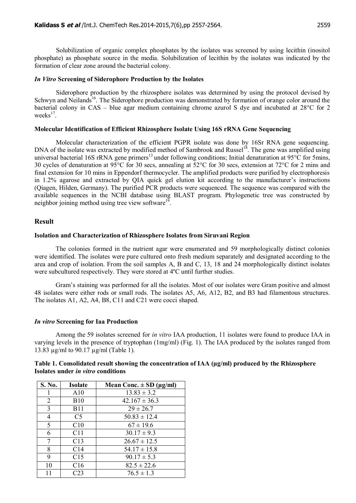Solubilization of organic complex phosphates by the isolates was screened by using lecithin (inositol phosphate) as phosphate source in the media. Solubilization of lecithin by the isolates was indicated by the formation of clear zone around the bacterial colony.

## *In Vitro* **Screening of Siderophore Production by the Isolates**

Siderophore production by the rhizosphere isolates was determined by using the protocol devised by Schwyn and Neilands<sup>16</sup>. The Siderophore production was demonstrated by formation of orange color around the bacterial colony in CAS – blue agar medium containing chrome azurol S dye and incubated at 28°C for 2 weeks<sup>17</sup>.

## **Molecular Identification of Efficient Rhizosphere Isolate Using 16S rRNA Gene Sequencing**

Molecular characterization of the efficient PGPR isolate was done by 16Sr RNA gene sequencing. DNA of the isolate was extracted by modified method of Sambrook and Russel<sup>18</sup>. The gene was amplified using universal bacterial 16S rRNA gene primers<sup>13</sup> under following conditions; Initial denaturation at  $95^{\circ}$ C for 5mins, 30 cycles of denaturation at 95°C for 30 secs, annealing at 52°C for 30 secs, extension at 72°C for 2 mins and final extension for 10 mins in Eppendorf thermocycler. The amplified products were purified by electrophoresis in 1.2% agarose and extracted by QIA quick gel elution kit according to the manufacturer's instructions (Qiagen, Hilden, Germany). The purified PCR products were sequenced. The sequence was compared with the available sequences in the NCBI database using BLAST program. Phylogenetic tree was constructed by neighbor joining method using tree view software $1^9$ .

## **Result**

#### **Isolation and Characterization of Rhizosphere Isolates from Siruvani Region**

The colonies formed in the nutrient agar were enumerated and 59 morphologically distinct colonies were identified. The isolates were pure cultured onto fresh medium separately and designated according to the area and crop of isolation. From the soil samples A, B and C, 13, 18 and 24 morphologically distinct isolates were subcultured respectively. They were stored at 4ºC until further studies.

Gram's staining was performed for all the isolates. Most of our isolates were Gram positive and almost 48 isolates were either rods or small rods. The isolates A5, A6, A12, B2, and B3 had filamentous structures. The isolates A1, A2, A4, B8, C11 and C21 were cocci shaped.

#### *In vitro* **Screening for Iaa Production**

Among the 59 isolates screened for *in vitro* IAA production, 11 isolates were found to produce IAA in varying levels in the presence of tryptophan (1mg/ml) (Fig. 1). The IAA produced by the isolates ranged from 13.83 µg/ml to 90.17 µg/ml (Table 1).

| <b>S. No.</b> | <b>Isolate</b>  | Mean Conc. $\pm$ SD ( $\mu$ g/ml) |
|---------------|-----------------|-----------------------------------|
|               | A10             | $13.83 \pm 3.2$                   |
| 2             | <b>B</b> 10     | $42.167 \pm 36.3$                 |
| 3             | <b>B</b> 11     | $29 \pm 26.7$                     |
| 4             | C <sub>5</sub>  | $50.83 \pm 12.4$                  |
| 5             | C10             | $67 \pm 19.6$                     |
| 6             | C <sub>11</sub> | $30.17 \pm 9.3$                   |
| 7             | C13             | $26.67 \pm 12.5$                  |
| 8             | C14             | $54.17 \pm 15.8$                  |
| 9             | C15             | $90.17 \pm 5.3$                   |
| 10            | C16             | $82.5 \pm 22.6$                   |
|               | C <sub>23</sub> | $76.5 \pm 1.3$                    |

| Table 1. Consolidated result showing the concentration of IAA (µg/ml) produced by the Rhizosphere |  |  |
|---------------------------------------------------------------------------------------------------|--|--|
| Isolates under <i>in vitro</i> conditions                                                         |  |  |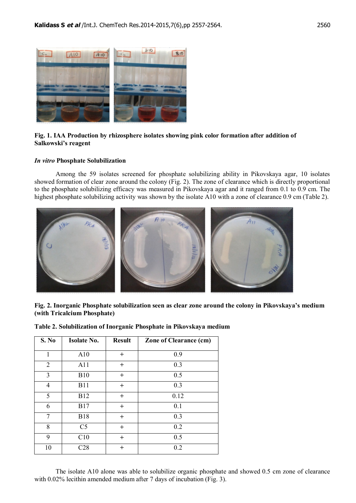

**Fig. 1. IAA Production by rhizosphere isolates showing pink color formation after addition of Salkowski's reagent**

# *In vitro* **Phosphate Solubilization**

Among the 59 isolates screened for phosphate solubilizing ability in Pikovskaya agar, 10 isolates showed formation of clear zone around the colony (Fig. 2). The zone of clearance which is directly proportional to the phosphate solubilizing efficacy was measured in Pikovskaya agar and it ranged from 0.1 to 0.9 cm. The highest phosphate solubilizing activity was shown by the isolate A10 with a zone of clearance 0.9 cm (Table 2).



**Fig. 2. Inorganic Phosphate solubilization seen as clear zone around the colony in Pikovskaya's medium (with Tricalcium Phosphate)**

|  |  | Table 2. Solubilization of Inorganic Phosphate in Pikovskaya medium |  |  |  |  |
|--|--|---------------------------------------------------------------------|--|--|--|--|
|--|--|---------------------------------------------------------------------|--|--|--|--|

| S. No          | <b>Isolate No.</b> | <b>Result</b> | <b>Zone of Clearance (cm)</b> |
|----------------|--------------------|---------------|-------------------------------|
| 1              | A10                | $^{+}$        | 0.9                           |
| 2              | A11                | $^{+}$        | 0.3                           |
| 3              | <b>B10</b>         | $^{+}$        | 0.5                           |
| $\overline{4}$ | <b>B11</b>         | $\mathrm{+}$  | 0.3                           |
| 5              | <b>B12</b>         | $^{+}$        | 0.12                          |
| 6              | <b>B17</b>         | $\mathrm{+}$  | 0.1                           |
| 7              | <b>B18</b>         | $^{+}$        | 0.3                           |
| 8              | C <sub>5</sub>     | $^{+}$        | 0.2                           |
| 9              | C10                | $^{+}$        | 0.5                           |
| 10             | C28                | $^{+}$        | 0.2                           |

The isolate A10 alone was able to solubilize organic phosphate and showed 0.5 cm zone of clearance with 0.02% lecithin amended medium after 7 days of incubation (Fig. 3).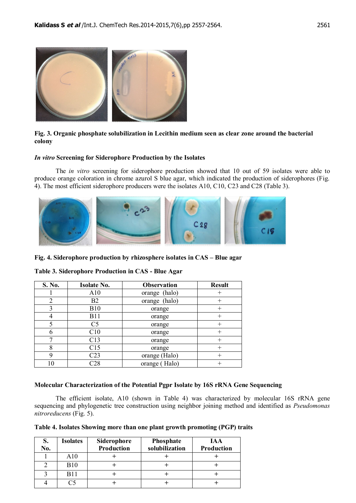

# **Fig. 3. Organic phosphate solubilization in Lecithin medium seen as clear zone around the bacterial colony**

#### *In vitro* **Screening for Siderophore Production by the Isolates**

The *in vitro* screening for siderophore production showed that 10 out of 59 isolates were able to produce orange coloration in chrome azurol S blue agar, which indicated the production of siderophores (Fig. 4). The most efficient siderophore producers were the isolates A10, C10, C23 and C28 (Table 3).



**Fig. 4. Siderophore production by rhizosphere isolates in CAS – Blue agar**

| S. No. | <b>Isolate No.</b> | <b>Observation</b> | <b>Result</b> |
|--------|--------------------|--------------------|---------------|
|        | A10                | (halo)<br>orange   |               |
| 2      | B2                 | orange (halo)      |               |
| 3      | <b>B10</b>         | orange             | $^+$          |
| 4      | <b>B11</b>         | orange             | $^+$          |
| 5      | C <sub>5</sub>     | orange             |               |
| 6      | C10                | orange             |               |
|        | C13                | orange             | $^{+}$        |
| 8      | C15                | orange             |               |
| 9      | C <sub>23</sub>    | orange (Halo)      |               |
| 10     | 228                | orange (Halo)      |               |

**Table 3. Siderophore Production in CAS - Blue Agar**

## **Molecular Characterization of the Potential Pgpr Isolate by 16S rRNA Gene Sequencing**

The efficient isolate, A10 (shown in Table 4) was characterized by molecular 16S rRNA gene sequencing and phylogenetic tree construction using neighbor joining method and identified as *Pseudomonas nitroreducens* (Fig. 5).

| Table 4. Isolates Showing more than one plant growth promoting (PGP) traits |  |  |  |
|-----------------------------------------------------------------------------|--|--|--|
|                                                                             |  |  |  |

| S.<br>No. | <b>Isolates</b> | Siderophore<br>Production | Phosphate<br>solubilization | <b>IAA</b><br>Production |
|-----------|-----------------|---------------------------|-----------------------------|--------------------------|
|           | A10             |                           |                             |                          |
|           | <b>B10</b>      |                           |                             |                          |
|           | <b>B11</b>      |                           |                             |                          |
|           |                 |                           |                             |                          |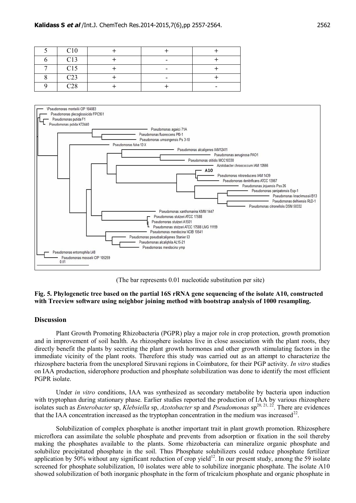| C10             |   |  |
|-----------------|---|--|
| C13             | - |  |
| C15             | - |  |
| C <sub>23</sub> | - |  |
| C <sub>28</sub> |   |  |



(The bar represents 0.01 nucleotide substitution per site)

# **Fig. 5. Phylogenetic tree based on the partial 16S rRNA gene sequencing of the isolate A10, constructed with Treeview software using neighbor joining method with bootstrap analysis of 1000 resampling.**

# **Discussion**

Plant Growth Promoting Rhizobacteria (PGPR) play a major role in crop protection, growth promotion and in improvement of soil health. As rhizosphere isolates live in close association with the plant roots, they directly benefit the plants by secreting the plant growth hormones and other growth stimulating factors in the immediate vicinity of the plant roots. Therefore this study was carried out as an attempt to characterize the rhizosphere bacteria from the unexplored Siruvani regions in Coimbatore, for their PGP activity. *In vitro* studies on IAA production, siderophore production and phosphate solubilization was done to identify the most efficient PGPR isolate.

Under *in vitro* conditions, IAA was synthesized as secondary metabolite by bacteria upon induction with tryptophan during stationary phase. Earlier studies reported the production of IAA by various rhizosphere isolates such as *Enterobacter* sp, *Klebsiella* sp, *Azotobacter* sp and *Pseudomonas* sp<sup>20, 21, 2<sup>2</sup>. There are evidences</sup> that the IAA concentration increased as the tryptophan concentration in the medium was increased<sup>22</sup>.

Solubilization of complex phosphate is another important trait in plant growth promotion. Rhizosphere microflora can assimilate the soluble phosphate and prevents from adsorption or fixation in the soil thereby making the phosphates available to the plants. Some rhizobacteria can mineralize organic phosphate and solubilize precipitated phosphate in the soil. Thus Phosphate solubilizers could reduce phosphate fertilizer application by 50% without any significant reduction of crop yield<sup>12</sup>. In our present study, among the 59 isolate screened for phosphate solubilization, 10 isolates were able to solubilize inorganic phosphate. The isolate A10 showed solubilization of both inorganic phosphate in the form of tricalcium phosphate and organic phosphate in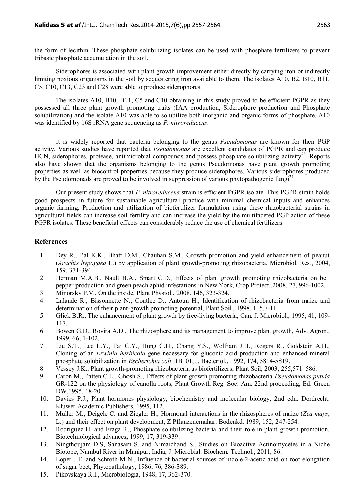the form of lecithin. These phosphate solubilizing isolates can be used with phosphate fertilizers to prevent tribasic phosphate accumulation in the soil.

Siderophores is associated with plant growth improvement either directly by carrying iron or indirectly limiting noxious organisms in the soil by sequestering iron available to them. The isolates A10, B2, B10, B11, C5, C10, C13, C23 and C28 were able to produce siderophores.

The isolates A10, B10, B11, C5 and C10 obtaining in this study proved to be efficient PGPR as they possessed all three plant growth promoting traits (IAA production, Siderophore production and Phosphate solubilization) and the isolate A10 was able to solubilize both inorganic and organic forms of phosphate. A10 was identified by 16S rRNA gene sequencing as *P. nitroreducens*.

It is widely reported that bacteria belonging to the genus *Pseudomonas* are known for their PGP activity. Various studies have reported that *Pseudomonas* are excellent candidates of PGPR and can produce HCN, siderophores, protease, antimicrobial compounds and possess phosphate solubilizing activity<sup>23</sup>. Reports also have shown that the organisms belonging to the genus Pseudomonas have plant growth promoting properties as well as biocontrol properties because they produce siderophores. Various siderophores produced by the Pseudomonads are proved to be involved in suppression of various phytopathogenic fungi<sup>24</sup>.

Our present study shows that *P. nitroreducens* strain is efficient PGPR isolate. This PGPR strain holds good prospects in future for sustainable agricultural practice with minimal chemical inputs and enhances organic farming. Production and utilization of biofertilizer formulation using these rhizobacterial strains in agricultural fields can increase soil fertility and can increase the yield by the multifaceted PGP action of these PGPR isolates. These beneficial effects can considerably reduce the use of chemical fertilizers.

# **References**

- 1. Dey R., Pal K.K., Bhatt D.M., Chauhan S.M., Growth promotion and yield enhancement of peanut (*Arachis hypogaea* L.) by application of plant growth-promoting rhizobacteria, Microbiol. Res*.*, 2004, 159, 371-394.
- 2. Herman M.A.B., Nault B.A., Smart C.D., Effects of plant growth promoting rhizobacteria on bell pepper production and green peach aphid infestations in New York, Crop Protect.,2008, 27, 996-1002.
- 3. Minorsky P.V., On the inside, Plant Physiol., 2008. 146, 323-324.
- 4. Lalande R., Bissonnette N., Coutlee D., Antoun H., Identification of rhizobacteria from maize and determination of their plant-growth promoting potential, Plant Soil., 1998, 115,7-11.
- 5. Glick B.R., The enhancement of plant growth by free-living bacteria, Can. J. Microbiol., 1995, 41, 109- 117.
- 6. Bowen G.D., Rovira A.D., The rhizosphere and its management to improve plant growth, Adv. Agron., 1999, 66, 1-102.
- 7. Liu S.T., Lee L.Y., Tai C.Y., Hung C.H., Chang Y.S., Wolfram J.H., Rogers R., Goldstein A.H., Cloning of an *Erwinia herbicola* gene necessary for gluconic acid production and enhanced mineral phosphate solubilization in *Escherichia coli* HB101, J. Bacteriol., 1992, 174, 5814-5819.
- 8. Vessey J.K., Plant growth-promoting rhizobacteria as biofertilizers, Plant Soil, 2003, 255,571–586.
- 9. Caron M., Patten C.L., Ghosh S., Effects of plant growth promoting rhizobacteria *Pseudomonas putida* GR-122 on the physiology of canolla roots, Plant Growth Reg. Soc. Am. 22nd proceeding, Ed. Green DW,1995, 18-20.
- 10. Davies P.J., Plant hormones physiology, biochemistry and molecular biology, 2nd edn. Dordrecht: Kluwer Academic Publishers, 1995, 112.
- 11. Muller M., Deigele C. and Ziegler H., Hormonal interactions in the rhizospheres of maize (*Zea mays*, L.) and their effect on plant development, Z Pflanzenernahar. Bodenkd, 1989, 152, 247-254.
- 12. Rodriguez H. and Fraga R., Phosphate solubilizing bacteria and their role in plant growth promotion, Biotechnological advances, 1999, 17, 319-339.
- 13. Ningthoujam D.S, Sanasam S. and Nimaichand S., Studies on Bioactive Actinomycetes in a Niche Biotope, Nambul River in Manipur, India, J. Microbial. Biochem. Technol., 2011, 86.
- 14. Loper J.E. and Schroth M.N., Influence of bacterial sources of indole-2-acetic acid on root elongation of sugar beet, Phytopathology, 1986, 76, 386-389.
- 15. Pikovskaya R.I., Microbiologia, 1948, 17, 362-370.